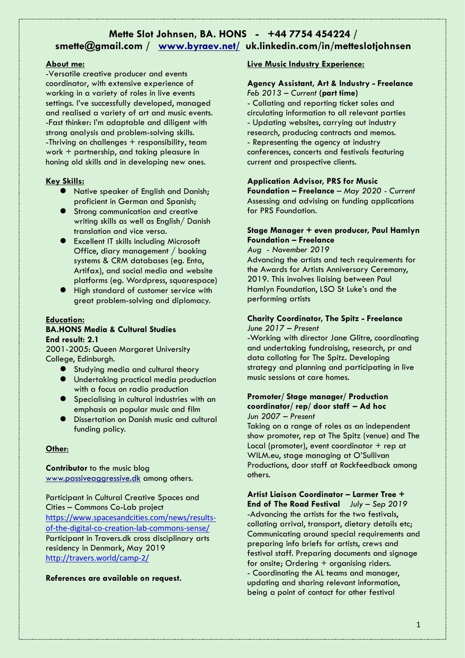# **Mette Slot Johnsen, BA. HONS - +44 7754 454224 / [smette@gmail.com](mailto:smette@gmail.com) / [www.byraev.net/](http://www.byraev.net/) [uk.linkedin.com/in/metteslotjohnsen](http://uk.linkedin.com/in/metteslotjohnsen)**

# **About me:**

-Versatile creative producer and events coordinator, with extensive experience of working in a variety of roles in live events settings. I've successfully developed, managed and realised a variety of art and music events. -Fast thinker: I'm adaptable and diligent with strong analysis and problem-solving skills.  $-$ Thriving on challenges  $+$  responsibility, team work + partnership, and taking pleasure in honing old skills and in developing new ones.

## **Key Skills:**

- ⚫ Native speaker of English and Danish; proficient in German and Spanish;
- ⚫ Strong communication and creative writing skills as well as English/ Danish translation and vice versa.
- ⚫ Excellent IT skills including Microsoft Office, diary management / booking systems & CRM databases (eg. Enta, Artifax), and social media and website platforms (eg. Wordpress, squarespace)
- ⚫ High standard of customer service with great problem-solving and diplomacy.

## **Education:**

#### **BA.HONS Media & Cultural Studies End result: 2.1**

2001-2005: Queen Margaret University College, Edinburgh.

- Studying media and cultural theory
- ⚫ Undertaking practical media production with a focus on radio production
- ⚫ Specialising in cultural industries with an emphasis on popular music and film
- ⚫ Dissertation on Danish music and cultural funding policy.

### **Other**:

**Contributor** to the music blog [www.passiveaggressive.dk](http://www.passiveaggressive.dk/) among others.

Participant in Cultural Creative Spaces and Cities – Commons Co-Lab project [https://www.spacesandcities.com/news/results](https://www.spacesandcities.com/news/results-of-the-digital-co-creation-lab-commons-sense/)[of-the-digital-co-creation-lab-commons-sense/](https://www.spacesandcities.com/news/results-of-the-digital-co-creation-lab-commons-sense/) Participant in Travers.dk cross disciplinary arts residency in Denmark, May 2019 <http://travers.world/camp-2/>

**References are available on request.**

# **Live Music Industry Experience:**

### **Agency Assistant, Art & Industry - Freelance** *Feb 2013 – Current* **(part time)**

- Collating and reporting ticket sales and circulating information to all relevant parties - Updating websites, carrying out industry research, producing contracts and memos. - Representing the agency at industry conferences, concerts and festivals featuring current and prospective clients.

### **Application Advisor, PRS for Music**

**Foundation – Freelance** – *May 2020 - Current* Assessing and advising on funding applications for PRS Foundation.

### **Stage Manager + even producer, Paul Hamlyn Foundation – Freelance**

*Aug - November 2019* Advancing the artists and tech requirements for the Awards for Artists Anniversary Ceremony, 2019. This involves liaising between Paul Hamlyn Foundation, LSO St Luke's and the performing artists

# **Charity Coordinator, The Spitz - Freelance**

*June 2017 – Present*

-Working with director Jane Glitre, coordinating and undertaking fundraising, research, pr and data collating for The Spitz. Developing strategy and planning and participating in live music sessions at care homes.

### **Promoter/ Stage manager/ Production coordinator/ rep/ door staff – Ad hoc** *Jun 2007 – Present*

Taking on a range of roles as an independent show promoter, rep at The Spitz (venue) and The Local (promoter), event coordinator + rep at WILM.eu, stage managing at O'Sullivan Productions, door staff at Rockfeedback among others.

**Artist Liaison Coordinator – Larmer Tree +** 

**End of The Road Festival** *July – Sep 2019* -Advancing the artists for the two festivals, collating arrival, transport, dietary details etc; Communicating around special requirements and preparing info briefs for artists, crews and festival staff. Preparing documents and signage for onsite; Ordering + organising riders. - Coordinating the AL teams and manager, updating and sharing relevant information, being a point of contact for other festival